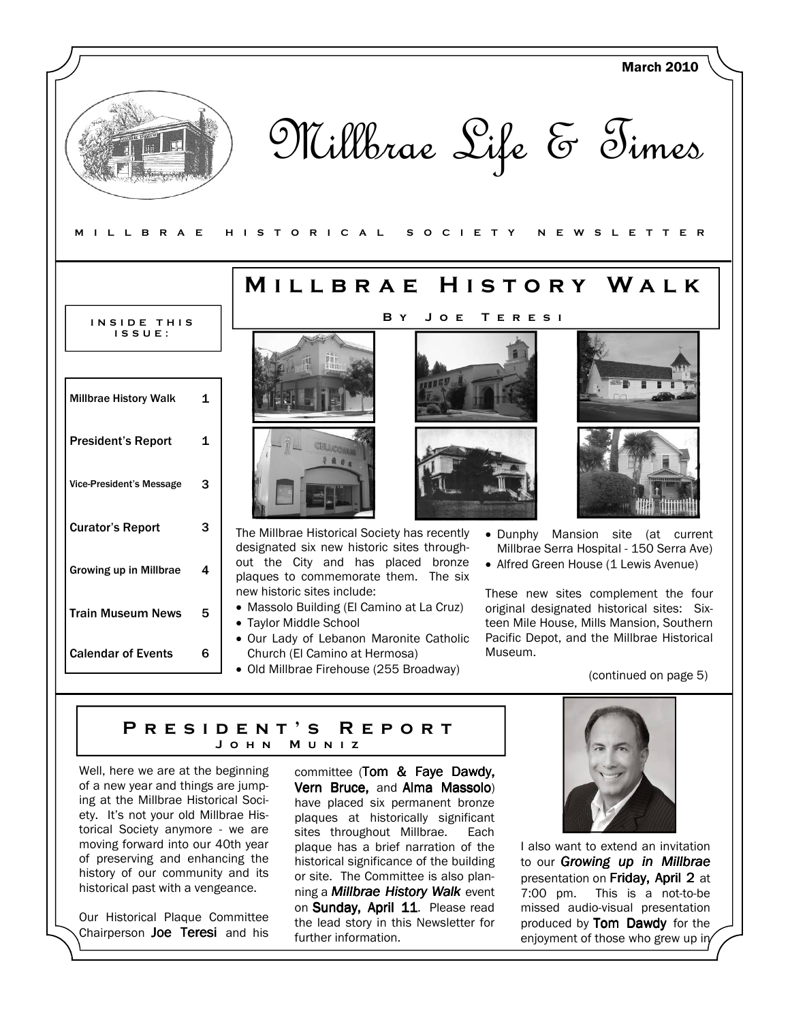

# PRESIDENT'S REPORT J o h n M u n i z

Well, here we are at the beginning of a new year and things are jumping at the Millbrae Historical Society. It's not your old Millbrae Historical Society anymore - we are moving forward into our 40th year of preserving and enhancing the history of our community and its historical past with a vengeance.

Our Historical Plaque Committee Chairperson Joe Teresi and his

committee (Tom & Faye Dawdy, Vern Bruce, and Alma Massolo) have placed six permanent bronze plaques at historically significant sites throughout Millbrae. Each plaque has a brief narration of the historical significance of the building or site. The Committee is also planning a **Millbrae History Walk** event on Sunday, April 11. Please read the lead story in this Newsletter for further information.



I also want to extend an invitation to our **Growing up in Millbrae** presentation on Friday, April 2 at 7:00 pm. This is a not-to-be missed audio-visual presentation produced by Tom Dawdy for the enjoyment of those who grew up in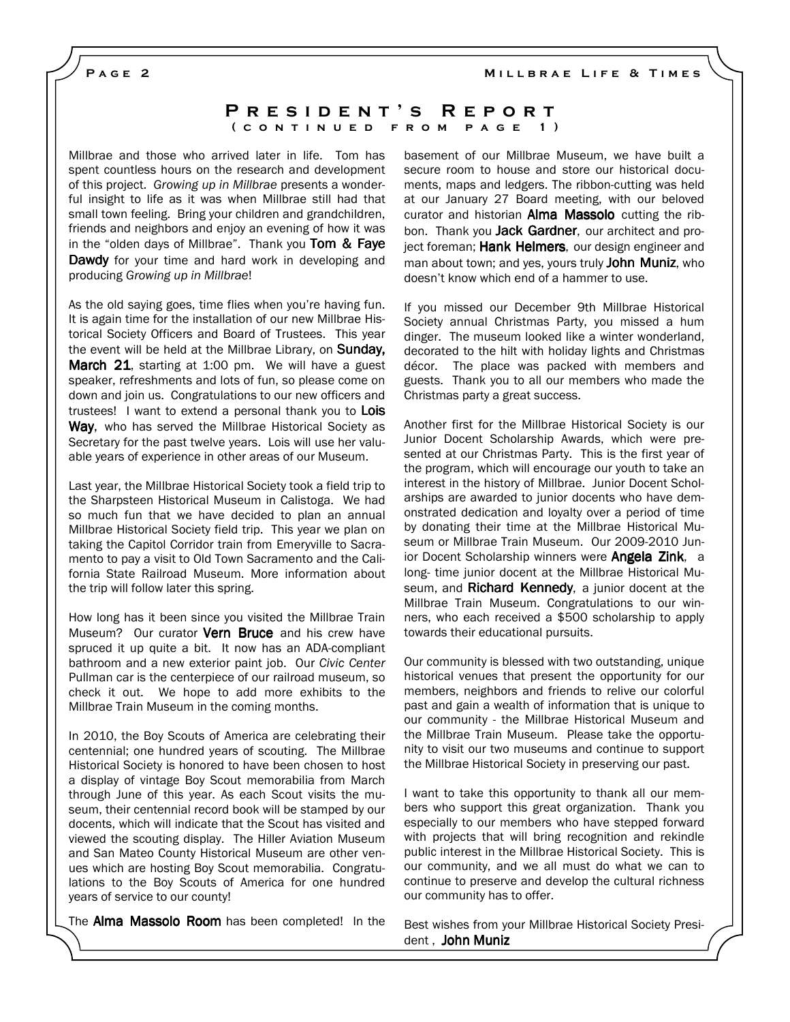MILLBRAE LIFE & TIMES

PAGE<sub>2</sub>

### P R E S I D E N T 'S R E P O R T ( CONTINUED FROM PAGE 1)

Millbrae and those who arrived later in life. Tom has spent countless hours on the research and development of this project. Growing up in Millbrae presents a wonderful insight to life as it was when Millbrae still had that small town feeling. Bring your children and grandchildren, friends and neighbors and enjoy an evening of how it was in the "olden days of Millbrae". Thank you **Tom**  $\&$  **Faye** Dawdy for your time and hard work in developing and producing Growing up in Millbrae!

As the old saying goes, time flies when you're having fun. It is again time for the installation of our new Millbrae Historical Society Officers and Board of Trustees. This year the event will be held at the Millbrae Library, on **Sunday,** March 21, starting at 1:00 pm. We will have a guest speaker, refreshments and lots of fun, so please come on down and join us. Congratulations to our new officers and trustees! I want to extend a personal thank you to Lois Way, who has served the Millbrae Historical Society as Secretary for the past twelve years. Lois will use her valuable years of experience in other areas of our Museum.

Last year, the Millbrae Historical Society took a field trip to the Sharpsteen Historical Museum in Calistoga. We had so much fun that we have decided to plan an annual Millbrae Historical Society field trip. This year we plan on taking the Capitol Corridor train from Emeryville to Sacramento to pay a visit to Old Town Sacramento and the California State Railroad Museum. More information about the trip will follow later this spring.

How long has it been since you visited the Millbrae Train Museum? Our curator **Vern Bruce** and his crew have spruced it up quite a bit. It now has an ADA-compliant bathroom and a new exterior paint job. Our Civic Center Pullman car is the centerpiece of our railroad museum, so check it out. We hope to add more exhibits to the Millbrae Train Museum in the coming months.

In 2010, the Boy Scouts of America are celebrating their centennial; one hundred years of scouting. The Millbrae Historical Society is honored to have been chosen to host a display of vintage Boy Scout memorabilia from March through June of this year. As each Scout visits the museum, their centennial record book will be stamped by our docents, which will indicate that the Scout has visited and viewed the scouting display. The Hiller Aviation Museum and San Mateo County Historical Museum are other venues which are hosting Boy Scout memorabilia. Congratulations to the Boy Scouts of America for one hundred years of service to our county!

The **Alma Massolo Room** has been completed! In the

basement of our Millbrae Museum, we have built a secure room to house and store our historical documents, maps and ledgers. The ribbon-cutting was held at our January 27 Board meeting, with our beloved curator and historian Alma Massolo cutting the ribbon. Thank you **Jack Gardner**, our architect and project foreman; Hank Helmers, our design engineer and man about town; and yes, yours truly John Muniz, who doesn't know which end of a hammer to use.

If you missed our December 9th Millbrae Historical Society annual Christmas Party, you missed a hum dinger. The museum looked like a winter wonderland, decorated to the hilt with holiday lights and Christmas décor. The place was packed with members and guests. Thank you to all our members who made the Christmas party a great success.

Another first for the Millbrae Historical Society is our Junior Docent Scholarship Awards, which were presented at our Christmas Party. This is the first year of the program, which will encourage our youth to take an interest in the history of Millbrae. Junior Docent Scholarships are awarded to junior docents who have demonstrated dedication and loyalty over a period of time by donating their time at the Millbrae Historical Museum or Millbrae Train Museum. Our 2009-2010 Junior Docent Scholarship winners were **Angela Zink**, a long- time junior docent at the Millbrae Historical Museum, and Richard Kennedy, a junior docent at the Millbrae Train Museum. Congratulations to our winners, who each received a \$500 scholarship to apply towards their educational pursuits.

Our community is blessed with two outstanding, unique historical venues that present the opportunity for our members, neighbors and friends to relive our colorful past and gain a wealth of information that is unique to our community - the Millbrae Historical Museum and the Millbrae Train Museum. Please take the opportunity to visit our two museums and continue to support the Millbrae Historical Society in preserving our past.

I want to take this opportunity to thank all our members who support this great organization. Thank you especially to our members who have stepped forward with projects that will bring recognition and rekindle public interest in the Millbrae Historical Society. This is our community, and we all must do what we can to continue to preserve and develop the cultural richness our community has to offer.

Best wishes from your Millbrae Historical Society President , John Muniz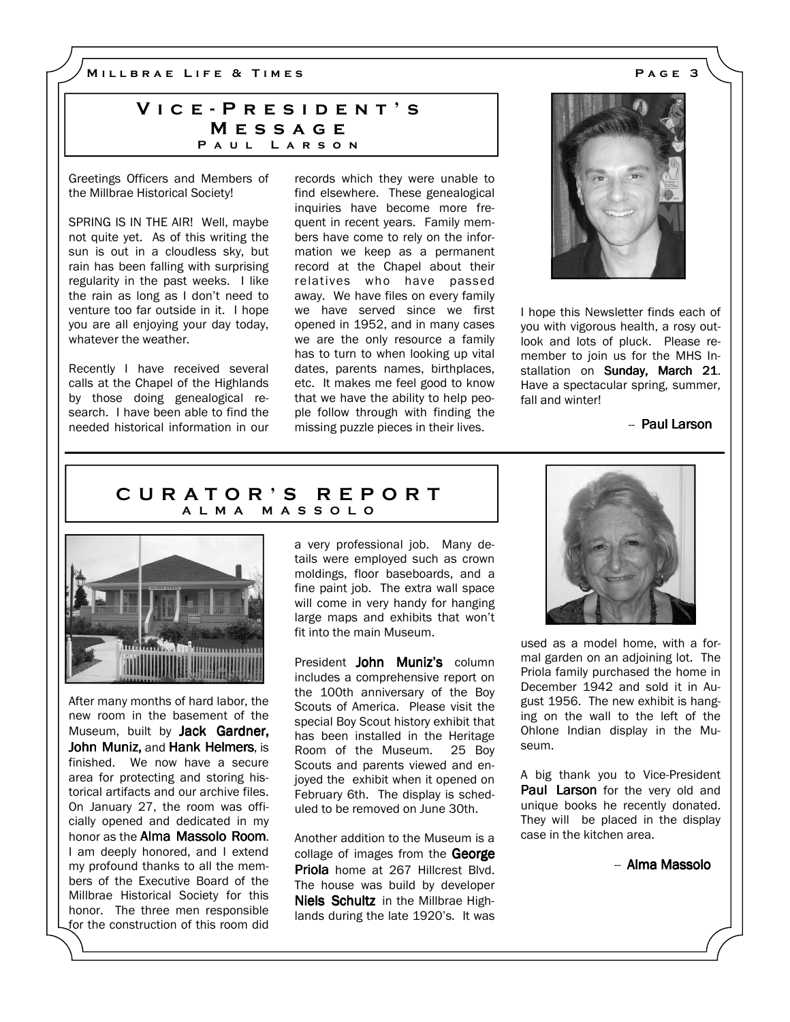M I L L B R A E L I F E & T I M E S A G E 3

# VICE - PRESIDENT'S **MESSAGE** PAUL LARSON

Greetings Officers and Members of the Millbrae Historical Society!

SPRING IS IN THE AIR! Well, maybe not quite yet. As of this writing the sun is out in a cloudless sky, but rain has been falling with surprising regularity in the past weeks. I like the rain as long as I don't need to venture too far outside in it. I hope you are all enjoying your day today, whatever the weather.

Recently I have received several calls at the Chapel of the Highlands by those doing genealogical research. I have been able to find the needed historical information in our records which they were unable to find elsewhere. These genealogical inquiries have become more frequent in recent years. Family members have come to rely on the information we keep as a permanent record at the Chapel about their relatives who have passed away. We have files on every family we have served since we first opened in 1952, and in many cases we are the only resource a family has to turn to when looking up vital dates, parents names, birthplaces, etc. It makes me feel good to know that we have the ability to help people follow through with finding the missing puzzle pieces in their lives.



I hope this Newsletter finds each of you with vigorous health, a rosy outlook and lots of pluck. Please remember to join us for the MHS Installation on Sunday, March 21. Have a spectacular spring, summer, fall and winter!

- Paul Larson

# C U R A T O R ' S R E P O R T A L M A M A S S O L O



After many months of hard labor, the new room in the basement of the Museum, built by Jack Gardner, John Muniz, and Hank Helmers, is finished. We now have a secure area for protecting and storing historical artifacts and our archive files. On January 27, the room was officially opened and dedicated in my honor as the Alma Massolo Room. I am deeply honored, and I extend my profound thanks to all the members of the Executive Board of the Millbrae Historical Society for this honor. The three men responsible for the construction of this room did a very professional job. Many details were employed such as crown moldings, floor baseboards, and a fine paint job. The extra wall space will come in very handy for hanging large maps and exhibits that won't fit into the main Museum.

President John Muniz's column includes a comprehensive report on the 100th anniversary of the Boy Scouts of America. Please visit the special Boy Scout history exhibit that has been installed in the Heritage Room of the Museum. 25 Boy Scouts and parents viewed and enjoyed the exhibit when it opened on February 6th. The display is scheduled to be removed on June 30th.

Another addition to the Museum is a collage of images from the George Priola home at 267 Hillcrest Blvd. The house was build by developer Niels Schultz in the Millbrae Highlands during the late 1920's. It was



used as a model home, with a formal garden on an adjoining lot. The Priola family purchased the home in December 1942 and sold it in August 1956. The new exhibit is hanging on the wall to the left of the Ohlone Indian display in the Museum.

A big thank you to Vice-President **Paul Larson** for the very old and unique books he recently donated. They will be placed in the display case in the kitchen area.

-- Alma Massolo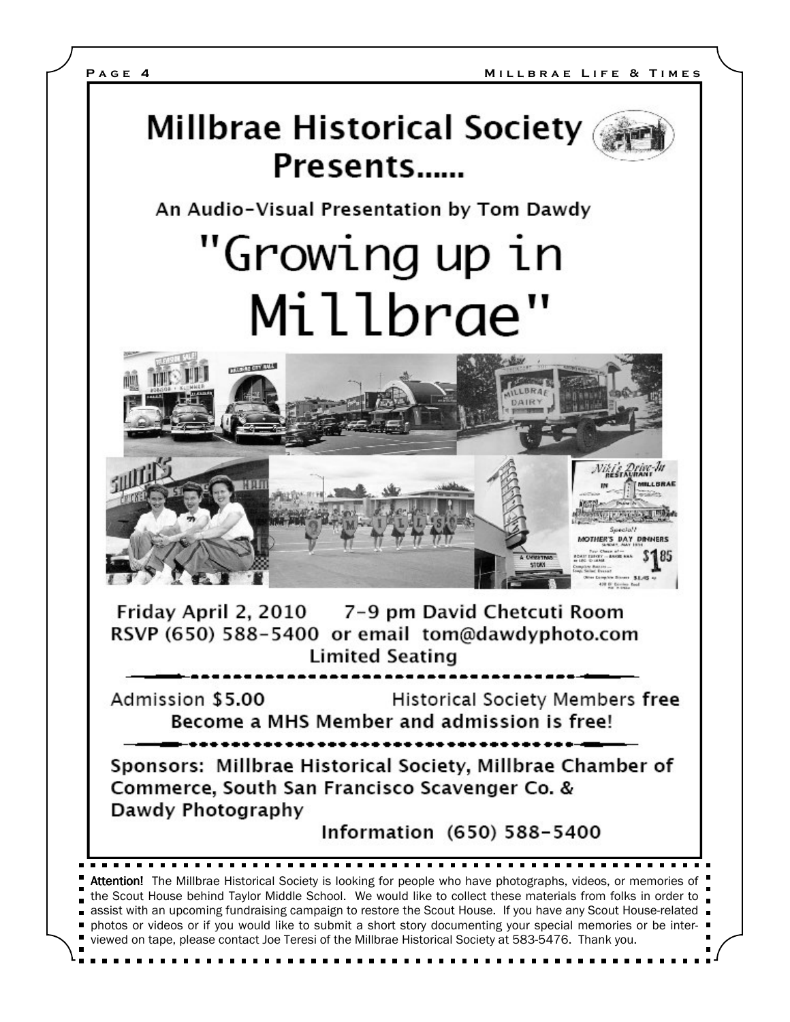

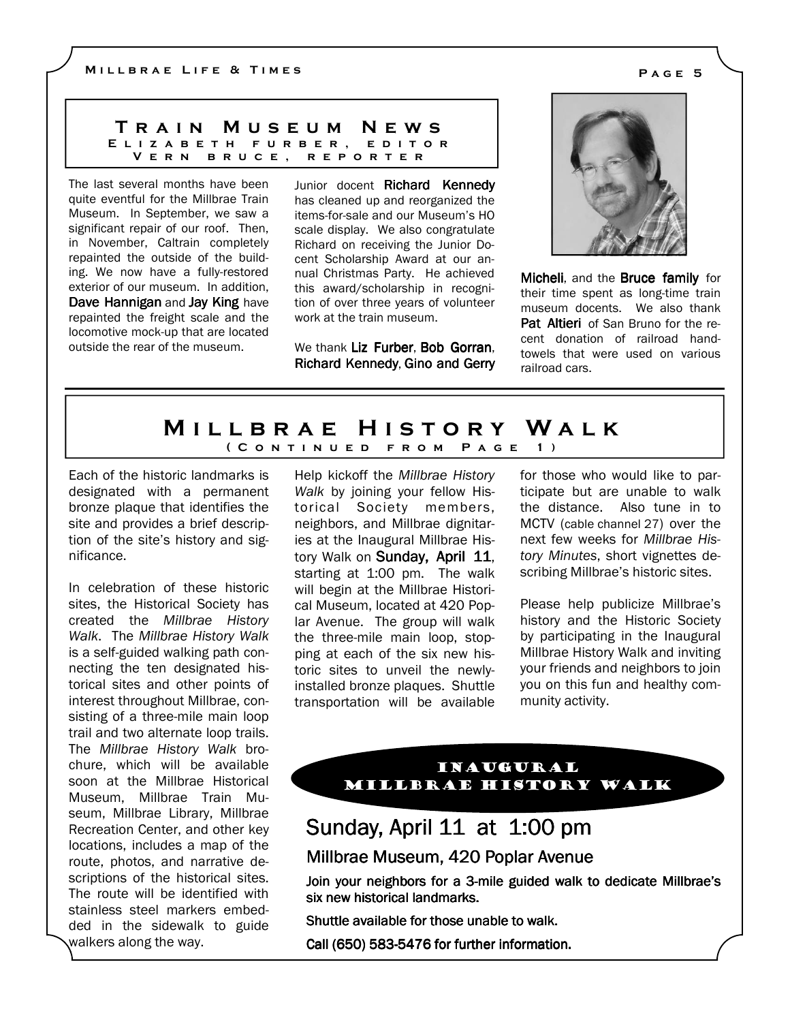### T r a i n M u s e u m N e w s E L I Z A B E T H F U R B E R , E D I T O R V e r n b r u c e , r e p o r t e r

The last several months have been quite eventful for the Millbrae Train Museum. In September, we saw a significant repair of our roof. Then, in November, Caltrain completely repainted the outside of the building. We now have a fully-restored exterior of our museum. In addition, Dave Hannigan and Jay King have repainted the freight scale and the locomotive mock-up that are located outside the rear of the museum.

Junior docent Richard Kennedv has cleaned up and reorganized the items-for-sale and our Museum's HO scale display. We also congratulate Richard on receiving the Junior Docent Scholarship Award at our annual Christmas Party. He achieved this award/scholarship in recognition of over three years of volunteer work at the train museum.

We thank Liz Furber, Bob Gorran. Richard Kennedy, Gino and Gerry



Micheli, and the **Bruce family** for their time spent as long-time train museum docents. We also thank Pat Altieri of San Bruno for the recent donation of railroad handtowels that were used on various railroad cars.

# MILLBRAE HISTORY WALK ( C O N T I N U E D F R O M P A G E 1 )

Each of the historic landmarks is designated with a permanent bronze plaque that identifies the site and provides a brief description of the site's history and significance.

In celebration of these historic sites, the Historical Society has created the Millbrae History Walk. The Millbrae History Walk is a self-guided walking path connecting the ten designated historical sites and other points of interest throughout Millbrae, consisting of a three-mile main loop trail and two alternate loop trails. The Millbrae History Walk brochure, which will be available soon at the Millbrae Historical Museum, Millbrae Train Museum, Millbrae Library, Millbrae Recreation Center, and other key locations, includes a map of the route, photos, and narrative descriptions of the historical sites. The route will be identified with stainless steel markers embedded in the sidewalk to guide walkers along the way.

Help kickoff the Millbrae History Walk by joining your fellow Historical Society members, neighbors, and Millbrae dignitaries at the Inaugural Millbrae History Walk on Sunday, April 11, starting at 1:00 pm. The walk will begin at the Millbrae Historical Museum, located at 420 Poplar Avenue. The group will walk the three-mile main loop, stopping at each of the six new historic sites to unveil the newlyinstalled bronze plaques. Shuttle transportation will be available for those who would like to participate but are unable to walk the distance. Also tune in to MCTV (cable channel 27) over the next few weeks for Millbrae History Minutes, short vignettes describing Millbrae's historic sites.

Please help publicize Millbrae's history and the Historic Society by participating in the Inaugural Millbrae History Walk and inviting your friends and neighbors to join you on this fun and healthy community activity.

# Inaugural Millbrae History Walk

# Sunday, April 11 at 1:00 pm

Millbrae Museum, 420 Poplar Avenue

Join your neighbors for a 3-mile guided walk to dedicate Millbrae's six new historical landmarks.

Shuttle available for those unable to walk.

Call (650) 583-5476 for further information.